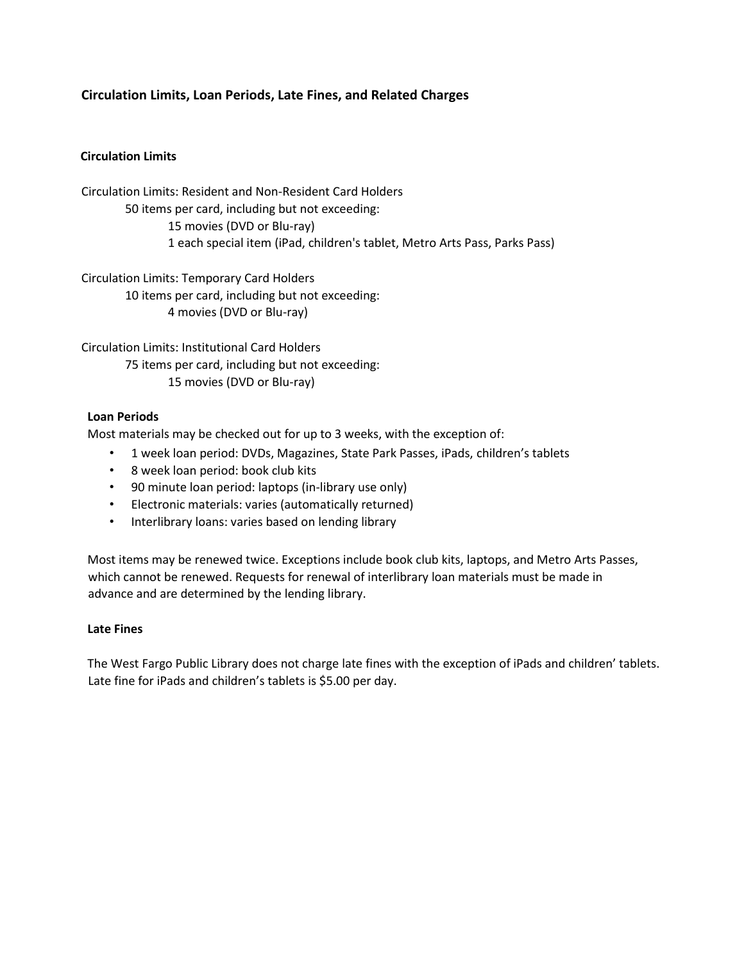## **Circulation Limits, Loan Periods, Late Fines, and Related Charges**

### **Circulation Limits**

Circulation Limits: Resident and Non-Resident Card Holders 50 items per card, including but not exceeding: 15 movies (DVD or Blu-ray) 1 each special item (iPad, children's tablet, Metro Arts Pass, Parks Pass)

Circulation Limits: Temporary Card Holders 10 items per card, including but not exceeding: 4 movies (DVD or Blu-ray)

Circulation Limits: Institutional Card Holders 75 items per card, including but not exceeding: 15 movies (DVD or Blu-ray)

#### **Loan Periods**

Most materials may be checked out for up to 3 weeks, with the exception of:

- 1 week loan period: DVDs, Magazines, State Park Passes, iPads, children's tablets
- 8 week loan period: book club kits
- 90 minute loan period: laptops (in-library use only)
- Electronic materials: varies (automatically returned)
- Interlibrary loans: varies based on lending library

Most items may be renewed twice. Exceptions include book club kits, laptops, and Metro Arts Passes, which cannot be renewed. Requests for renewal of interlibrary loan materials must be made in advance and are determined by the lending library.

#### **Late Fines**

The West Fargo Public Library does not charge late fines with the exception of iPads and children' tablets. Late fine for iPads and children's tablets is \$5.00 per day.